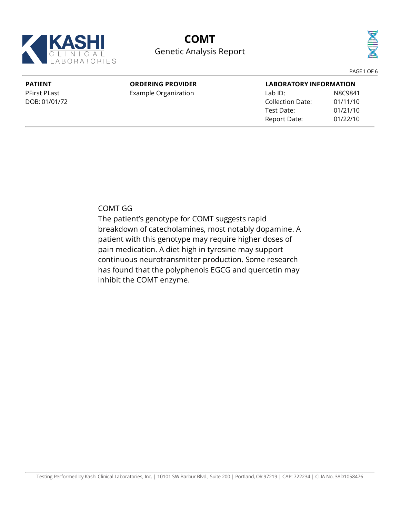

# **COMT** Genetic Analysis Report



PAGE 1 OF 6

#### **PATIENT** PFirst PLast DOB: 01/01/72 **ORDERING PROVIDER** Example Organization **LABORATORY INFORMATION** Lab ID: N8C9841 Collection Date: 01/11/10 Test Date: 01/21/10 Report Date: 01/22/10

COMT GG

The patient's genotype for COMT suggests rapid breakdown of catecholamines, most notably dopamine. A patient with thisgenotype may require higher doses of pain medication. A diet high in tyrosine may support continuous neurotransmitter production. Some research has found that the polyphenols EGCG and quercetin may inhibit the COMT enzyme.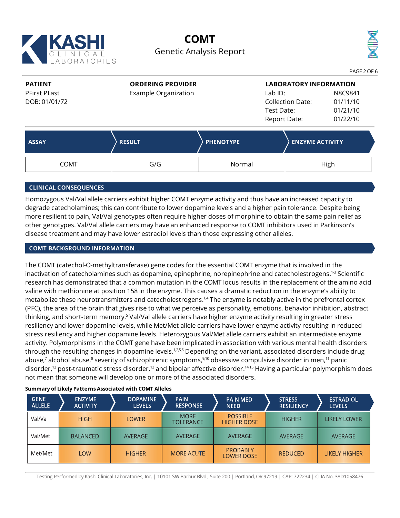

## **COMT** Genetic Analysis Report



**PATIENT** PFirst PLast DOB: 01/01/72

### **ORDERING PROVIDER**

Example Organization

| <b>LABORATORY INFORMATION</b> |          |  |  |  |  |
|-------------------------------|----------|--|--|--|--|
| $Lab$ ID:                     | N8C9841  |  |  |  |  |
| <b>Collection Date:</b>       | 01/11/10 |  |  |  |  |
| Test Date:                    | 01/21/10 |  |  |  |  |
| Report Date:                  | 01/22/10 |  |  |  |  |

| <b>ASSAY</b> | <b>RESULT</b> | <b>PHENOTYPE</b> | <b>ENZYME ACTIVITY</b> |  |
|--------------|---------------|------------------|------------------------|--|
| <b>COMT</b>  | G/G           | Normal           | High                   |  |

### **CLINICAL CONSEQUENCES**

Homozygous Val/Val allele carriers exhibit higher COMT enzyme activity and thus have an increased capacityto degrade catecholamines; this can contribute to lower dopamine levels and a higher pain tolerance. Despite being more resilient to pain, Val/Val genotypes often require higher doses of morphine to obtain the same pain relief as other genotypes. Val/Val allele carriers may have an enhanced response to COMT inhibitors used in Parkinson's disease treatment and may have lower estradiol levels than those expressing other alleles.

### **COMT BACKGROUND INFORMATION**

The COMT (catechol-O-methyltransferase) gene codes for the essential COMT enzyme that is involved in the inactivation of catecholamines such as dopamine, epinephrine, norepinephrine and catecholestrogens.<sup>1-3</sup> Scientific research has demonstrated that a common mutation in the COMT locus results in the replacement of the amino acid valine with methionine at position 158 in the enzyme. This causes a dramatic reduction in the enzyme's ability to metabolize these neurotransmitters and catecholestrogens.<sup>1,4</sup> The enzyme is notably active in the prefrontal cortex (PFC), the area of the brain that gives rise to what we perceive as personality, emotions, behavior inhibition, abstract thinking, and short-term memory.<sup>5</sup> Val/Val allele carriers have higher enzyme activity resulting in greater stress resiliency and lower dopamine levels, while Met/Met allele carriers have lower enzyme activity resulting in reduced stress resiliency and higher dopamine levels. Heterozygous Val/Met allele carriers exhibit an intermediate enzyme activity. Polymorphisms in the COMT gene have been implicated in association with various mental health disorders through the resulting changes in dopamine levels.<sup>1,2,5,6</sup> Depending on the variant, associated disorders include drug abuse,<sup>7</sup> alcohol abuse,<sup>8</sup> severity of schizophrenic symptoms,<sup>9,10</sup> obsessive compulsive disorder in men,<sup>11</sup> panic disorder,<sup>12</sup> post-traumatic stress disorder,<sup>13</sup> and bipolar affective disorder.<sup>14,15</sup> Having a particular polymorphism does not mean that someone will develop one or more of the associated disorders.

| <b>GENE</b><br><b>ALLELE</b> | <b>ENZYME</b><br><b>ACTIVITY</b> | <b>DOPAMINE</b><br><b>LEVELS</b> | <b>PAIN</b><br><b>RESPONSE</b>  | <b>PAIN MED</b><br><b>NEED</b>        | <b>STRESS</b><br><b>RESILIENCY</b> | <b>ESTRADIOL</b><br><b>LEVELS</b> |
|------------------------------|----------------------------------|----------------------------------|---------------------------------|---------------------------------------|------------------------------------|-----------------------------------|
| Val/Val                      | <b>HIGH</b>                      | <b>LOWER</b>                     | <b>MORE</b><br><b>TOLERANCE</b> | <b>POSSIBLE</b><br><b>HIGHER DOSE</b> | <b>HIGHER</b>                      | LIKELY LOWER                      |
| Val/Met                      | <b>BALANCED</b>                  | AVERAGE                          | <b>AVERAGE</b>                  | <b>AVERAGE</b>                        | AVERAGE                            | <b>AVERAGE</b>                    |
| Met/Met                      | <b>LOW</b>                       | <b>HIGHER</b>                    | <b>MORE ACUTE</b>               | <b>PROBABLY</b><br><b>LOWER DOSE</b>  | <b>REDUCED</b>                     | LIKELY HIGHER                     |

#### **Summary of Likely Patterns Associatedwith COMT Alleles**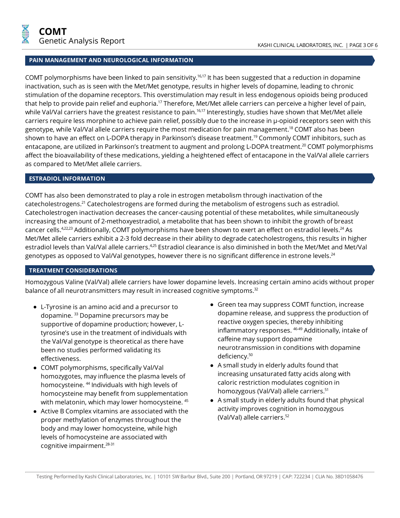#### **PAIN MANAGEMENT AND NEUROLOGICAL INFORMATION**

COMT polymorphisms have been linked to pain sensitivity.<sup>16,17</sup> It has been suggested that a reduction in dopamine inactivation, such as is seen with the Met/Met genotype, results in higher levels of dopamine, leading to chronic stimulation of the dopamine receptors. This overstimulation mayresult in less endogenous opioids being produced that help to provide pain relief and euphoria.<sup>17</sup> Therefore, Met/Met allele carriers can perceive a higher level of pain, while Val/Val carriers have the greatest resistance to pain.<sup>16,17</sup> Interestingly, studies have shown that Met/Met allele carriers require less morphine to achieve pain relief, possibly due to the increase in µ-opioid receptors seen with this genotype, while Val/Val allele carriers require the most medication for pain management. <sup>18</sup> COMT also has been shown to have an effect on L-DOPA therapy in Parkinson's disease treatment.<sup>19</sup> Commonly COMT inhibitors, such as entacapone, are utilized in Parkinson's treatment to augment and prolong L-DOPA treatment.<sup>20</sup> COMT polymorphisms affect the bioavailability of these medications, yielding a heightened effect of entacapone in the Val/Val allele carriers as compared to Met/Met allele carriers.

#### **ESTRADIOL INFORMATION**

COMT has also been demonstrated to play a role in estrogen metabolism through inactivation of the catecholestrogens.<sup>21</sup> Catecholestrogens are formed during the metabolism of estrogens such as estradiol. Catecholestrogen inactivation decreases the cancer-causing potential of these metabolites, while simultaneously increasing the amount of 2-methoxyestradiol, a metabolite that has been shown to inhibit the growth of breast cancer cells.<sup>4,22,23</sup> Additionally, COMT polymorphisms have been shown to exert an effect on estradiol levels.<sup>24</sup> As Met/Met allele carriers exhibit a 2-3 fold decrease in their abilityto degrade catecholestrogens, this results in higher estradiol levels than Val/Val allele carriers.<sup>4,25</sup> Estradiol clearance is also diminished in both the Met/Met and Met/Val genotypes as opposed to Val/Val genotypes, however there is no significant difference in estrone levels. $^{24}$ 

#### **TREATMENT CONSIDERATIONS**

Homozygous Valine (Val/Val) allele carriers have lower dopamine levels. Increasing certain amino acids without proper balance of all neurotransmitters may result in increased cognitive symptoms. $32$ 

- L-Tyrosine is an amino acid and a precursor to dopamine. <sup>33</sup> Dopamine precursors may be supportive of dopamine production; however, Ltyrosine's use in the treatment of individuals with the Val/Val genotype is theoretical as there have been no studies performed validating its effectiveness.
- COMT polymorphisms, specifically Val/Val homozygotes, mayinfluence the plasma levels of homocysteine. 44 Individuals with high levels of homocysteine may benefit from supplementation with melatonin, which may lower homocysteine. <sup>45</sup>
- Active B Complex vitamins are associated with the proper methylation of enzymes throughout the body and maylower homocysteine, while high levels of homocysteine are associated with cognitive impairment. 28-31
- Green tea maysuppress COMT function, increase dopamine release, and suppress the production of reactive oxygen species, thereby inhibiting inflammatory responses. <sup>46-49</sup> Additionally, intake of caffeine maysupport dopamine neurotransmission in conditions with dopamine deficiency. 50
- A small studyin elderly adults found that increasing unsaturated fatty acids along with caloric restriction modulates cognition in homozygous (Val/Val) allele carriers. 51
- A small studyin elderly adults found that physical activity improves cognition in homozygous (Val/Val) allele carriers. 52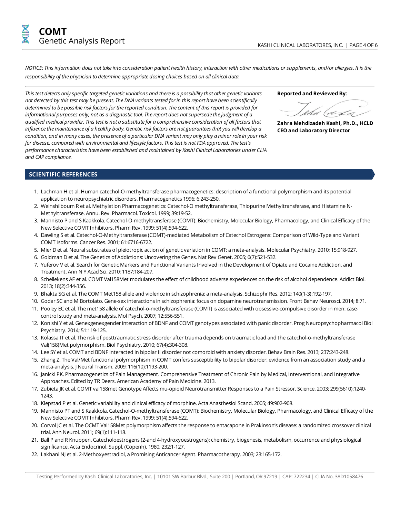NOTICE: This information does not take into consideration patient health history, interaction with other medications or supplements, and/or allergies. It is the *responsibility of the physician to determine appropriate dosing choices based on allclinical data.*

*This test detects onlyspecific targeted genetic variations and thereis a possibilitythat othergenetic variants not detected bythis testmay be present.The DNA variants tested for in this report have been scientifically determined to be possibleriskfactors for thereported condition.Thecontent of this report is provided for informational purposes only, not as a diagnostic tool.Thereport does notsupersedethejudgment of a qualified medical provider.This test is not a substitutefor a comprehensiveconsideration of all factors that influencethemaintenance of a healthy body. Genetic riskfactors are notguarantees thatyou will develop a* condition, and in many cases, the presence of a particular DNA variant may only play a minor role in your risk *for disease,compared with environmental and lifestylefactors.This test is notFDA approved.Thetest's performancecharacteristics have been established and maintained by Kashi ClinicalLaboratories under CLIA and CAP compliance.*

**Reported and Reviewed By:**

**ZahraMehdizadeh Kashi, Ph.D., HCLD CEOand Laboratory Director**

#### **SCIENTIFIC REFERENCES**

- 1. Lachman H et al. Human catechol-O-methyltransferase pharmacogenetics: description of a functional polymorphismand its potential application to neuropsychiatric disorders. Pharmacogenetics 1996; 6:243-250.
- 2. Weinshilboum R et al. Methylation Pharmacogenetics: Catechol-O methyltransferase, Thiopurine Methyltransferase, and Histamine N-Methyltransferase. Annu. Rev. Pharmacol. Toxicol. 1999; 39:19-52.
- 3. Mannisto P and S Kaakkola. Catechol-O-methyltransferase (COMT): Biochemistry, Molecular Biology, Pharmacology, and Clinical Efficacy of the New Selective COMT Inhibitors. Pharm Rev. 1999; 51(4):594-622.
- 4. Dawling S et al. Catechol-O-Methyltransferase (COMT)-mediated Metabolism of Catechol Estrogens: Comparison of Wild-Type and Variant COMT Isoforms. Cancer Res. 2001; 61:6716-6722.
- 5. Mier D et al. Neural substrates of pleiotropic action of genetic variation in COMT: a meta-analysis. Molecular Psychiatry. 2010; 15:918-927.
- 6. Goldman D et al. The Genetics of Addictions: Uncovering the Genes. Nat Rev Genet. 2005; 6(7):521-532.
- 7. Yuferov V et al. Search for Genetic Markers and Functional Variants Involved in the Development of Opiate and Cocaine Addiction, and Treatment. Ann N Y Acad Sci. 2010; 1187:184-207.
- 8. Schellekens AF et al. COMT Val158Met modulates the effect of childhood adverse experiences on the risk of alcohol dependence. Addict Biol. 2013; 18(2):344-356.
- 9. Bhakta SG et al. The COMT Met158 allele and violence in schizophrenia: a meta-analysis. Schizophr Res. 2012; 140(1-3):192-197.
- 10. Godar SC and M Bortolato. Gene-sex interactions in schizophrenia: focus on dopamine neurotransmission. Front Behav Neurosci. 2014; 8:71.
- 11. Pooley EC et al. The met158 allele of catechol-o-methyltransferase (COMT) is associated with obsessive-compulsive disorder in men: casecontrol study and meta-analysis. Mol Psych. 2007; 12:556-551.
- 12. Konishi Y et al. Genexgenexgenderinteraction of BDNF and COMT genotypes associated with panic disorder. Prog Neuropsychopharmacol Biol Psychiatry. 2014; 51:119-125.
- 13. Kolassa IT et al. The risk of posttraumatic stress disorder after trauma depends on traumatic load and the catechol-o-methyltransferase Val(158)Met polymorphism. Biol Psychiatry. 2010; 67(4):304-308.
- 14. Lee SY et al. COMT and BDNF interacted in bipolar II disorder not comorbid with anxiety disorder. Behav Brain Res. 2013; 237:243-248.
- 15. Zhang Z. The Val/Met functional polymorphism in COMT confers susceptibility to bipolar disorder: evidence from an association study and a meta-analysis. J Neural Transm. 2009; 116(10):1193-200.
- 16. Janicki PK. Pharmacogenetics of PainManagement. Comprehensive Treatment of Chronic Pain by Medical, Interventional, and Integrative Approaches. Edited by TR Deers. American Academy of Pain Medicine. 2013.
- 17. Zubieta JK et al. COMT val158met Genotype Affectsmu-opioid Neurotransmitter Responsesto a Pain Stressor. Science. 2003; 299(5610):1240- 1243.
- 18. Klepstad P et al. Geneticvariability and clinical efficacy ofmorphine. Acta Anasthesiol Scand. 2005; 49:902-908.
- 19. Mannisto PT and S Kaakkola. Catechol-O-methyltransferase (COMT): Biochemistry, Molecular Biology, Pharmacology, and Clinical Efficacy of the New Selective COMT Inhibitors. Pharm Rev. 1999; 51(4):594-622.
- 20. Corvol JC et al. The OCMT Val158Met polymorphism affects the response to entacapone in Prakinson's disease: a randomized crossover clinical trial. Ann Neurol. 2011; 69(1):111-118.
- 21. Ball P and R Knuppen. Catecholoestrogens (2-and 4-hydroxyoestrogens): chemistry, biogenesis, metabolism, occurrence and physiological significance. Acta Endocrinol. Suppl. (Copenh). 1980; 232:1-127.
- 22. Lakhani NJ et al. 2-Methoxyestradiol, a Promising Anticancer Agent. Pharmacotherapy. 2003; 23:165-172.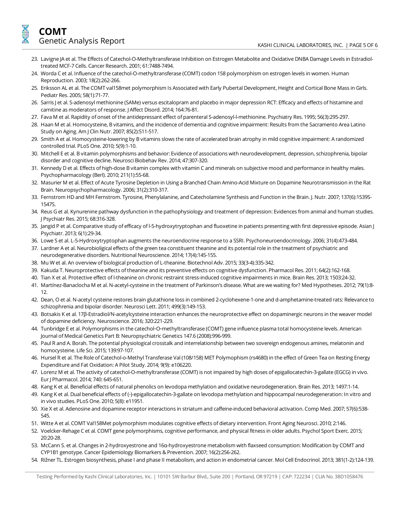- 23. Lavigne JA et al. The Effects of Catechol-O-Methyltransferase Inhibition on Estrogen Metabolite and Oxidative DNBA Damage Levels in EstradioltreatedMCF-7 Cells. Cancer Research. 2001; 61:7488-7494.
- 24. Worda C et al. Influence of the catechol-O-methyltransferase (COMT) codon 158 polymorphism on estrogen levels in women. Human Reproduction. 2003; 18(2):262-266.
- 25. Eriksson AL et al. The COMT val158met polymorphism Is Associated with Early Pubertal Development, Height and Cortical Bone Mass in Girls. Pediatr Res. 2005; 58(1):71-77.
- 26. Sarris J et al. S-adenosyl methionine (SAMe) versus escitalopram and placebo in major depression RCT: Efficacy and effects of histamine and carnitine as moderators of response. J Affect Disord. 2014; 164:76-81.
- 27. FavaM et al. Rapidity of onset of the antidepressant effect of parenteral S-adenosyl-l-methionine. Psychiatry Res. 1995; 56(3):295-297.
- 28. Haan M et al. Homocysteine, B vitamins, and the incidence of dementia and cognitive impairment: Results from the Sacramento Area Latino Study on Aging. AmJ Clin Nutr. 2007; 85(2):511-517.
- 29. Smith A et al. Homocysteine-lowering by B vitamins slows the rate of accelerated brain atrophy in mild cognitive impairment: A randomized controlled trial. PLoS One. 2010; 5(9):1-10.
- 30. Mitchell E et al. B vitamin polymorphisms and behavior: Evidence of associations with neurodevelopment, depression, schizophrenia, bipolar disorder and cognitive decline. Neurosci Biobehav Rev. 2014; 47:307-320.
- 31. Kennedy D et al. Effects of high-dose B vitamin complex with vitamin C and minerals on subjective mood and performance in healthy males. Psychopharmacology (Berl). 2010; 211(1):55-68.
- 32. MasurierM et al. Effect of Acute Tyrosine Depletion in Using a Branched Chain Amino-AcidMixture on Dopamine Neurotransmission in the Rat Brain. Neuropsychopharmacology. 2006; 31(2):310-317.
- 33. FernstromHD andMH Fernstrom. Tyrosine, Phenylalanine, and Catecholamine Synthesis and Function in the Brain. J. Nutr. 2007; 137(6):1539S-1547S.
- 34. Reus G et al. Kynurenine pathway dysfunction in the pathophysiology and treatment of depression: Evidences from animal and human studies. J Psychiatr Res. 2015; 68:316-328.
- 35. Jangid P et al. Comparative study of efficacy of l-5-hydroxytryptophan and fluoxetine in patients presenting with first depressive episode. Asian J Psychiatr. 2013; 6(1):29-34.
- 36. Lowe S et al.L-5-Hydroxytryptophan augmentsthe neuroendocrine response to a SSRI. Psychoneuroendocrinology. 2006; 31(4):473-484.
- 37. Lardner A et al. Neurobioligical effects of the green tea constituent theanine and its potential role in the treatment of psychiatric and neurodegenerative disorders. Nutritional Neuroscience. 2014; 17(4):145-155.
- 38. MuWet al. An overview of biological production ofL-theanine. Biotechnol Adv. 2015; 33(3-4):335-342.
- 39. Kakuda T. Neuroprotective effects of theanine and its preventive effects on cognitive dysfunction. Pharmacol Res. 2011; 64(2):162-168.
- 40. Tian X et al. Protective effect of I-theanine on chronic restraint stress-induced cognitive impairments in mice. Brain Res. 2013; 1503:24-32.
- 41. Martínez-Banaclocha M et al. N-acetyl-cysteine in the treatment of Parkinson's disease. What are we waiting for? Med Hypotheses. 2012; 79(1):8-12.
- 42. Dean, O et al. N-acetyl cysteine restores brain glutathione loss in combined 2-cyclohexene-1-one and d-amphetamine-treated rats: Relevance to schizophrenia and bipolar disorder. NeurosciLett. 2011; 499(3):149-153.
- 43. Botsakis K et al. 17ß-Estradiol/N-acetylcysteine interaction enhances the neuroprotective effect on dopaminergic neurons in the weaver model of dopamine deficiency. Neuroscience. 2016; 320:221-229.
- 44. Tunbridge E et al. Polymorphismsin the catechol‐O‐methyltransferase (COMT)gene influence plasma total homocysteine levels. American Journal of Medical Genetics Part B: Neuropsychiatric Genetics 147.6 (2008):996-999.
- 45. Paul R and A. Borah. The potential physiological crosstalk and interrelationship between two sovereign endogenous amines, melatonin and homocysteine.Life Sci. 2015; 139:97-107.
- 46. Hursel R et al. The Role of Catechol-o-Methyl Transferase Val (108/158) MET Polymophism(rs4680) in the effect of Green Tea on Resting Energy Expenditure and Fat Oxidation: A Pilot Study. 2014; 9(9): e106220.
- 47. Lorenz M et al. The activity of catechol-O-methyltransferase (COMT) is not impaired by high doses of epigallocatechin-3-gallate (EGCG) in vivo. Eur | Pharmacol. 2014; 740: 645-651.
- 48. Kang K et al. Beneficial effects of natural phenolics on levodopamethylation and oxidative neurodegeneration. Brain Res. 2013; 1497:1-14.
- 49. Kang K et al. Dual beneficial effects of (-)-epigallocatechin-3-gallate on levodopamethylation and hippocampal neurodegeneration: In vitro and in vivo studies. PLoS One. 2010; 5(8): e11951.
- 50. Xie X et al. Adenosine and dopamine receptor interactions in striatum and caffeine-induced behavioral activation. Comp Med. 2007; 57(6):538-545.
- 51. Witte A et al. COMT Val158Met polymorphism modulates cognitive effects of dietary intervention. Front Aging Neurosci. 2010; 2:146.
- 52. Voelcker-Rehage C et al. COMT gene polymorphisms,cognitive performance, and physical fitnessin older adults. Psychol Sport Exerc. 2015; 20:20-28.
- 53. McCann S. et al. Changesin 2-hydroxyestrone and 16α-hydroxyestronemetabolismwith flaxseed consumption:Modification by COMT and CYP1B1 genotype. Cancer Epidemiology Biomarkers & Prevention. 2007; 16(2):256-262.
- 54. Rižner TL. Estrogen biosynthesis, phase I and phase II metabolism, and action in endometrialcancer.Mol Cell Endocrinol. 2013; 381(1-2):124-139.

Testing Performed by Kashi Clinical Laboratories, Inc. | 10101 SW Barbur Blvd., Suite 200 | Portland, OR 97219 | CAP: 722234 | CLIA No. 38D1058476